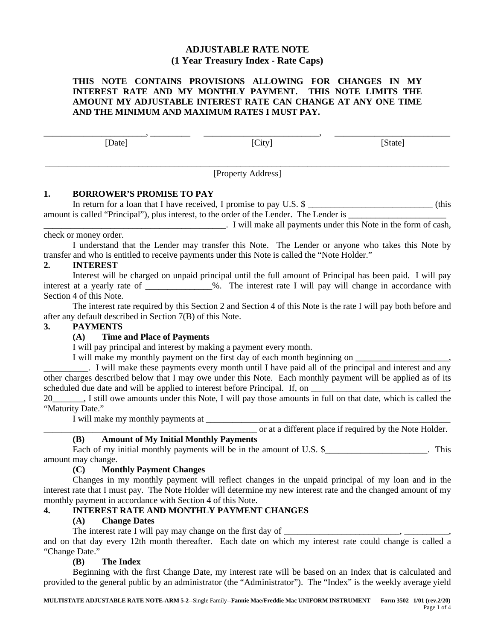## **ADJUSTABLE RATE NOTE (1 Year Treasury Index - Rate Caps)**

#### **THIS NOTE CONTAINS PROVISIONS ALLOWING FOR CHANGES IN MY INTEREST RATE AND MY MONTHLY PAYMENT. THIS NOTE LIMITS THE AMOUNT MY ADJUSTABLE INTEREST RATE CAN CHANGE AT ANY ONE TIME AND THE MINIMUM AND MAXIMUM RATES I MUST PAY.**

\_\_\_\_\_\_\_\_\_\_\_\_\_\_\_\_\_\_\_\_\_\_\_, \_\_\_\_\_\_\_\_\_ \_\_\_\_\_\_\_\_\_\_\_\_\_\_\_\_\_\_\_\_\_\_\_\_\_\_, \_\_\_\_\_\_\_\_\_\_\_\_\_\_\_\_\_\_\_\_\_\_\_\_\_\_

[Date] [City] [State]

\_\_\_\_\_\_\_\_\_\_\_\_\_\_\_\_\_\_\_\_\_\_\_\_\_\_\_\_\_\_\_\_\_\_\_\_\_\_\_\_\_\_\_\_\_\_\_\_\_\_\_\_\_\_\_\_\_\_\_\_\_\_\_\_\_\_\_\_\_\_\_\_\_\_\_\_\_\_\_\_\_\_\_\_\_\_\_\_\_\_\_ [Property Address]

### **1. BORROWER'S PROMISE TO PAY**

In return for a loan that I have received, I promise to pay U.S. \$ amount is called "Principal"), plus interest, to the order of the Lender. The Lender is  $\_\_$ 

\_\_\_\_\_\_\_\_\_\_\_\_\_\_\_\_\_\_\_\_\_\_\_\_\_\_\_\_\_\_\_\_\_\_\_\_\_\_\_\_\_. I will make all payments under this Note in the form of cash, check or money order.

I understand that the Lender may transfer this Note. The Lender or anyone who takes this Note by transfer and who is entitled to receive payments under this Note is called the "Note Holder."

## **2. INTEREST**

Interest will be charged on unpaid principal until the full amount of Principal has been paid. I will pay interest at a yearly rate of \_\_\_\_\_\_\_\_\_\_\_\_\_\_\_%. The interest rate I will pay will change in accordance with Section 4 of this Note.

The interest rate required by this Section 2 and Section 4 of this Note is the rate I will pay both before and after any default described in Section 7(B) of this Note.

#### **3. PAYMENTS**

## **(A) Time and Place of Payments**

I will pay principal and interest by making a payment every month.

I will make my monthly payment on the first day of each month beginning on

\_\_\_\_\_\_\_\_\_\_. I will make these payments every month until I have paid all of the principal and interest and any other charges described below that I may owe under this Note. Each monthly payment will be applied as of its scheduled due date and will be applied to interest before Principal. If, on

20\_\_\_\_\_\_\_, I still owe amounts under this Note, I will pay those amounts in full on that date, which is called the "Maturity Date."

I will make my monthly payments at

\_\_\_\_\_\_\_\_\_\_\_\_\_\_\_\_\_\_\_\_\_\_\_\_\_\_\_\_\_\_\_\_\_\_\_\_\_\_\_\_\_\_\_\_\_\_\_\_ or at a different place if required by the Note Holder.

## **(B) Amount of My Initial Monthly Payments**

Each of my initial monthly payments will be in the amount of U.S.  $\frac{1}{2}$  [Mergens 2014]. This amount may change.

## **(C) Monthly Payment Changes**

Changes in my monthly payment will reflect changes in the unpaid principal of my loan and in the interest rate that I must pay. The Note Holder will determine my new interest rate and the changed amount of my monthly payment in accordance with Section 4 of this Note.

## **4. INTEREST RATE AND MONTHLY PAYMENT CHANGES**

## **(A) Change Dates**

The interest rate I will pay may change on the first day of \_\_\_\_\_\_\_\_\_\_\_\_\_\_\_\_\_\_\_\_

and on that day every 12th month thereafter. Each date on which my interest rate could change is called a "Change Date."

#### **(B) The Index**

Beginning with the first Change Date, my interest rate will be based on an Index that is calculated and provided to the general public by an administrator (the "Administrator"). The "Index" is the weekly average yield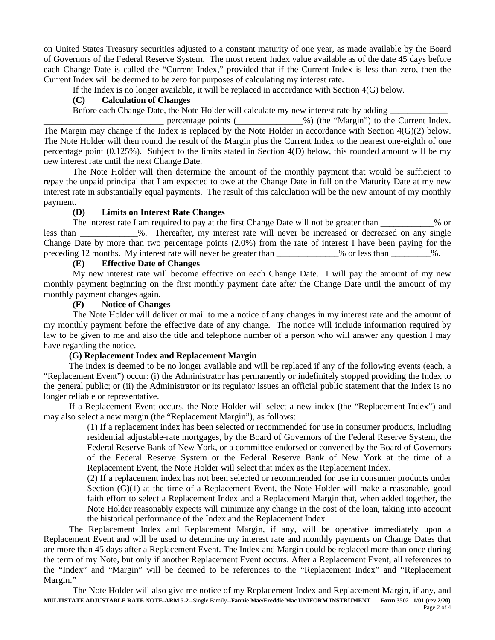on United States Treasury securities adjusted to a constant maturity of one year, as made available by the Board of Governors of the Federal Reserve System. The most recent Index value available as of the date 45 days before each Change Date is called the "Current Index," provided that if the Current Index is less than zero, then the Current Index will be deemed to be zero for purposes of calculating my interest rate.

If the Index is no longer available, it will be replaced in accordance with Section 4(G) below.

#### **(C) Calculation of Changes**

Before each Change Date, the Note Holder will calculate my new interest rate by adding \_\_\_\_\_\_\_\_\_\_\_\_\_

percentage points (2002) (the "Margin") to the Current Index. The Margin may change if the Index is replaced by the Note Holder in accordance with Section 4(G)(2) below. The Note Holder will then round the result of the Margin plus the Current Index to the nearest one-eighth of one percentage point (0.125%). Subject to the limits stated in Section 4(D) below, this rounded amount will be my new interest rate until the next Change Date.

The Note Holder will then determine the amount of the monthly payment that would be sufficient to repay the unpaid principal that I am expected to owe at the Change Date in full on the Maturity Date at my new interest rate in substantially equal payments. The result of this calculation will be the new amount of my monthly payment.

#### **(D) Limits on Interest Rate Changes**

The interest rate I am required to pay at the first Change Date will not be greater than \_\_\_\_\_\_\_\_\_\_% or less than  $\%$ . Thereafter, my interest rate will never be increased or decreased on any single Change Date by more than two percentage points (2.0%) from the rate of interest I have been paying for the preceding 12 months. My interest rate will never be greater than  $\%$  or less than  $\%$ .

### **(E) Effective Date of Changes**

My new interest rate will become effective on each Change Date. I will pay the amount of my new monthly payment beginning on the first monthly payment date after the Change Date until the amount of my monthly payment changes again.

#### **(F) Notice of Changes**

The Note Holder will deliver or mail to me a notice of any changes in my interest rate and the amount of my monthly payment before the effective date of any change. The notice will include information required by law to be given to me and also the title and telephone number of a person who will answer any question I may have regarding the notice.

#### **(G) Replacement Index and Replacement Margin**

The Index is deemed to be no longer available and will be replaced if any of the following events (each, a "Replacement Event") occur: (i) the Administrator has permanently or indefinitely stopped providing the Index to the general public; or (ii) the Administrator or its regulator issues an official public statement that the Index is no longer reliable or representative.

If a Replacement Event occurs, the Note Holder will select a new index (the "Replacement Index") and may also select a new margin (the "Replacement Margin"), as follows:

(1) If a replacement index has been selected or recommended for use in consumer products, including residential adjustable-rate mortgages, by the Board of Governors of the Federal Reserve System, the Federal Reserve Bank of New York, or a committee endorsed or convened by the Board of Governors of the Federal Reserve System or the Federal Reserve Bank of New York at the time of a Replacement Event, the Note Holder will select that index as the Replacement Index.

(2) If a replacement index has not been selected or recommended for use in consumer products under Section (G)(1) at the time of a Replacement Event, the Note Holder will make a reasonable, good faith effort to select a Replacement Index and a Replacement Margin that, when added together, the Note Holder reasonably expects will minimize any change in the cost of the loan, taking into account the historical performance of the Index and the Replacement Index.

The Replacement Index and Replacement Margin, if any, will be operative immediately upon a Replacement Event and will be used to determine my interest rate and monthly payments on Change Dates that are more than 45 days after a Replacement Event. The Index and Margin could be replaced more than once during the term of my Note, but only if another Replacement Event occurs. After a Replacement Event, all references to the "Index" and "Margin" will be deemed to be references to the "Replacement Index" and "Replacement Margin."

**MULTISTATE ADJUSTABLE RATE NOTE-ARM 5-2**--Single Family--**Fannie Mae/Freddie Mac UNIFORM INSTRUMENT Form 3502 1/01 (rev.2/20)** The Note Holder will also give me notice of my Replacement Index and Replacement Margin, if any, and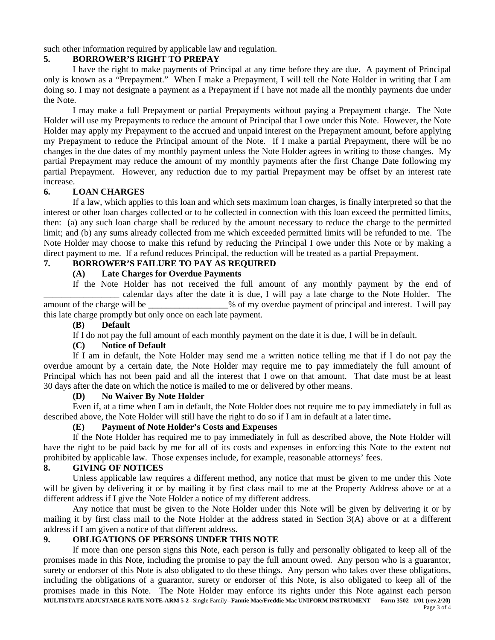such other information required by applicable law and regulation.

## **5. BORROWER'S RIGHT TO PREPAY**

I have the right to make payments of Principal at any time before they are due. A payment of Principal only is known as a "Prepayment." When I make a Prepayment, I will tell the Note Holder in writing that I am doing so. I may not designate a payment as a Prepayment if I have not made all the monthly payments due under the Note.

I may make a full Prepayment or partial Prepayments without paying a Prepayment charge. The Note Holder will use my Prepayments to reduce the amount of Principal that I owe under this Note. However, the Note Holder may apply my Prepayment to the accrued and unpaid interest on the Prepayment amount, before applying my Prepayment to reduce the Principal amount of the Note. If I make a partial Prepayment, there will be no changes in the due dates of my monthly payment unless the Note Holder agrees in writing to those changes. My partial Prepayment may reduce the amount of my monthly payments after the first Change Date following my partial Prepayment. However, any reduction due to my partial Prepayment may be offset by an interest rate increase.

# **6. LOAN CHARGES**

If a law, which applies to this loan and which sets maximum loan charges, is finally interpreted so that the interest or other loan charges collected or to be collected in connection with this loan exceed the permitted limits, then: (a) any such loan charge shall be reduced by the amount necessary to reduce the charge to the permitted limit; and (b) any sums already collected from me which exceeded permitted limits will be refunded to me. The Note Holder may choose to make this refund by reducing the Principal I owe under this Note or by making a direct payment to me. If a refund reduces Principal, the reduction will be treated as a partial Prepayment.

# **7. BORROWER'S FAILURE TO PAY AS REQUIRED**

## **(A) Late Charges for Overdue Payments**

If the Note Holder has not received the full amount of any monthly payment by the end of calendar days after the date it is due, I will pay a late charge to the Note Holder. The amount of the charge will be  $\frac{1}{2}$  % of my overdue payment of principal and interest. I will pay this late charge promptly but only once on each late payment.

## **(B) Default**

If I do not pay the full amount of each monthly payment on the date it is due, I will be in default.

## **(C) Notice of Default**

If I am in default, the Note Holder may send me a written notice telling me that if I do not pay the overdue amount by a certain date, the Note Holder may require me to pay immediately the full amount of Principal which has not been paid and all the interest that I owe on that amount. That date must be at least 30 days after the date on which the notice is mailed to me or delivered by other means.

# **(D) No Waiver By Note Holder**

Even if, at a time when I am in default, the Note Holder does not require me to pay immediately in full as described above, the Note Holder will still have the right to do so if I am in default at a later time**.**

# **(E) Payment of Note Holder's Costs and Expenses**

If the Note Holder has required me to pay immediately in full as described above, the Note Holder will have the right to be paid back by me for all of its costs and expenses in enforcing this Note to the extent not prohibited by applicable law. Those expenses include, for example, reasonable attorneys' fees.

# **8. GIVING OF NOTICES**

Unless applicable law requires a different method, any notice that must be given to me under this Note will be given by delivering it or by mailing it by first class mail to me at the Property Address above or at a different address if I give the Note Holder a notice of my different address.

Any notice that must be given to the Note Holder under this Note will be given by delivering it or by mailing it by first class mail to the Note Holder at the address stated in Section 3(A) above or at a different address if I am given a notice of that different address.

# **9. OBLIGATIONS OF PERSONS UNDER THIS NOTE**

**MULTISTATE ADJUSTABLE RATE NOTE-ARM 5-2**--Single Family--**Fannie Mae/Freddie Mac UNIFORM INSTRUMENT Form 3502 1/01 (rev.2/20)** If more than one person signs this Note, each person is fully and personally obligated to keep all of the promises made in this Note, including the promise to pay the full amount owed. Any person who is a guarantor, surety or endorser of this Note is also obligated to do these things. Any person who takes over these obligations, including the obligations of a guarantor, surety or endorser of this Note, is also obligated to keep all of the promises made in this Note. The Note Holder may enforce its rights under this Note against each person